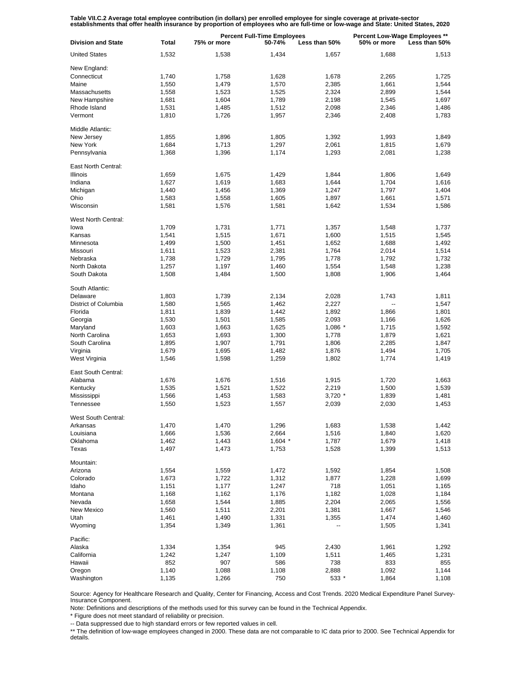Table VII.C.2 Average total employee contribution (in dollars) per enrolled employee for single coverage at private-sector<br>establishments that offer health insurance by proportion of employees who are full-time or low-wage

| <b>Division and State</b> | <b>Total</b> | <b>Percent Full-Time Employees</b><br>75% or more<br>50-74%<br>Less than 50% |           |           | Percent Low-Wage Employees **<br>50% or more<br>Less than 50% |       |
|---------------------------|--------------|------------------------------------------------------------------------------|-----------|-----------|---------------------------------------------------------------|-------|
| <b>United States</b>      | 1,532        | 1,538                                                                        | 1,434     | 1,657     | 1,688                                                         | 1,513 |
| New England:              |              |                                                                              |           |           |                                                               |       |
| Connecticut               | 1,740        | 1,758                                                                        | 1,628     | 1,678     | 2,265                                                         | 1.725 |
| Maine                     |              |                                                                              |           |           |                                                               |       |
|                           | 1,550        | 1,479                                                                        | 1,570     | 2,385     | 1,661                                                         | 1,544 |
| Massachusetts             | 1,558        | 1,523                                                                        | 1,525     | 2,324     | 2,899                                                         | 1,544 |
| New Hampshire             | 1,681        | 1,604                                                                        | 1,789     | 2,198     | 1,545                                                         | 1,697 |
| Rhode Island              | 1,531        | 1,485                                                                        | 1,512     | 2,098     | 2,346                                                         | 1,486 |
| Vermont                   | 1,810        | 1,726                                                                        | 1,957     | 2,346     | 2,408                                                         | 1,783 |
| Middle Atlantic:          |              |                                                                              |           |           |                                                               |       |
|                           |              |                                                                              |           |           |                                                               |       |
| New Jersey                | 1,855        | 1,896                                                                        | 1,805     | 1,392     | 1,993                                                         | 1,849 |
| New York                  | 1,684        | 1,713                                                                        | 1,297     | 2,061     | 1,815                                                         | 1,679 |
| Pennsylvania              | 1,368        | 1,396                                                                        | 1,174     | 1,293     | 2,081                                                         | 1,238 |
| East North Central:       |              |                                                                              |           |           |                                                               |       |
| <b>Illinois</b>           | 1,659        | 1,675                                                                        | 1,429     | 1,844     | 1,806                                                         | 1,649 |
| Indiana                   | 1,627        | 1,619                                                                        | 1,683     | 1,644     | 1,704                                                         | 1,616 |
|                           |              |                                                                              |           |           |                                                               |       |
| Michigan                  | 1,440        | 1,456                                                                        | 1,369     | 1,247     | 1,797                                                         | 1,404 |
| Ohio                      | 1,583        | 1,558                                                                        | 1,605     | 1,897     | 1,661                                                         | 1,571 |
| Wisconsin                 | 1,581        | 1,576                                                                        | 1,581     | 1,642     | 1,534                                                         | 1,586 |
| West North Central:       |              |                                                                              |           |           |                                                               |       |
| lowa                      |              | 1,731                                                                        | 1,771     |           | 1,548                                                         | 1,737 |
|                           | 1,709        |                                                                              |           | 1,357     |                                                               |       |
| Kansas                    | 1,541        | 1,515                                                                        | 1,671     | 1,600     | 1,515                                                         | 1,545 |
| Minnesota                 | 1,499        | 1,500                                                                        | 1,451     | 1,652     | 1,688                                                         | 1,492 |
| Missouri                  | 1,611        | 1,523                                                                        | 2,381     | 1,764     | 2,014                                                         | 1,514 |
| Nebraska                  | 1,738        | 1,729                                                                        | 1,795     | 1,778     | 1,792                                                         | 1,732 |
| North Dakota              | 1,257        | 1,197                                                                        | 1,460     | 1,554     | 1,548                                                         | 1,238 |
| South Dakota              |              |                                                                              |           |           |                                                               |       |
|                           | 1,508        | 1,484                                                                        | 1,500     | 1,808     | 1,906                                                         | 1,464 |
| South Atlantic:           |              |                                                                              |           |           |                                                               |       |
| Delaware                  | 1,803        | 1,739                                                                        | 2,134     | 2,028     | 1,743                                                         | 1,811 |
| District of Columbia      | 1,580        | 1,565                                                                        | 1,462     | 2,227     | ۵.                                                            | 1,547 |
| Florida                   | 1,811        | 1,839                                                                        | 1,442     | 1,892     | 1,866                                                         | 1,801 |
|                           |              |                                                                              |           |           |                                                               |       |
| Georgia                   | 1,530        | 1,501                                                                        | 1,585     | 2,093     | 1,166                                                         | 1,626 |
| Maryland                  | 1,603        | 1,663                                                                        | 1,625     | $1,086$ * | 1,715                                                         | 1,592 |
| North Carolina            | 1,653        | 1,693                                                                        | 1,300     | 1,778     | 1,879                                                         | 1,621 |
| South Carolina            | 1,895        | 1,907                                                                        | 1,791     | 1,806     | 2,285                                                         | 1,847 |
| Virginia                  | 1,679        | 1,695                                                                        | 1,482     | 1,876     | 1,494                                                         | 1,705 |
| West Virginia             | 1,546        | 1,598                                                                        | 1,259     | 1,802     | 1,774                                                         | 1,419 |
|                           |              |                                                                              |           |           |                                                               |       |
| East South Central:       |              |                                                                              |           |           |                                                               |       |
| Alabama                   | 1,676        | 1,676                                                                        | 1,516     | 1,915     | 1,720                                                         | 1,663 |
| Kentucky                  | 1,535        | 1,521                                                                        | 1,522     | 2,219     | 1,500                                                         | 1,539 |
| Mississippi               | 1,566        | 1,453                                                                        | 1,583     | $3,720$ * | 1,839                                                         | 1,481 |
| Tennessee                 | 1,550        | 1,523                                                                        | 1,557     | 2,039     | 2,030                                                         | 1,453 |
|                           |              |                                                                              |           |           |                                                               |       |
| West South Central:       |              |                                                                              |           |           |                                                               |       |
| Arkansas                  | 1,470        | 1,470                                                                        | 1,296     | 1,683     | 1,538                                                         | 1,442 |
| Louisiana                 | 1,666        | 1,536                                                                        | 2,664     | 1,516     | 1,840                                                         | 1,620 |
| Oklahoma                  | 1,462        | 1,443                                                                        | $1,604$ * | 1,787     | 1,679                                                         | 1,418 |
| Texas                     | 1,497        | 1,473                                                                        | 1,753     | 1,528     | 1,399                                                         | 1,513 |
|                           |              |                                                                              |           |           |                                                               |       |
| Mountain:                 |              |                                                                              |           |           |                                                               |       |
| Arizona                   | 1,554        | 1,559                                                                        | 1,472     | 1,592     | 1,854                                                         | 1,508 |
| Colorado                  | 1,673        | 1,722                                                                        | 1,312     | 1,877     | 1,228                                                         | 1,699 |
| Idaho                     | 1,151        | 1,177                                                                        | 1,247     | 718       | 1,051                                                         | 1,165 |
| Montana                   | 1,168        | 1,162                                                                        | 1,176     | 1,182     | 1,028                                                         | 1,184 |
| Nevada                    |              |                                                                              |           |           |                                                               |       |
|                           | 1,658        | 1,544                                                                        | 1,885     | 2,204     | 2,065                                                         | 1,556 |
| New Mexico                | 1,560        | 1,511                                                                        | 2,201     | 1,381     | 1,667                                                         | 1,546 |
| Utah                      | 1,461        | 1,490                                                                        | 1,331     | 1,355     | 1,474                                                         | 1,460 |
| Wyoming                   | 1,354        | 1,349                                                                        | 1,361     |           | 1,505                                                         | 1,341 |
| Pacific:                  |              |                                                                              |           |           |                                                               |       |
|                           |              |                                                                              |           |           |                                                               |       |
| Alaska                    | 1,334        | 1,354                                                                        | 945       | 2,430     | 1,961                                                         | 1,292 |
| California                | 1,242        | 1,247                                                                        | 1,109     | 1,511     | 1,465                                                         | 1,231 |
| Hawaii                    | 852          | 907                                                                          | 586       | 738       | 833                                                           | 855   |
| Oregon                    | 1,140        | 1,088                                                                        | 1,108     | 2,888     | 1,092                                                         | 1,144 |
| Washington                | 1,135        | 1,266                                                                        | 750       | 533 *     | 1,864                                                         | 1,108 |

Source: Agency for Healthcare Research and Quality, Center for Financing, Access and Cost Trends. 2020 Medical Expenditure Panel Survey-Insurance Component.

Note: Definitions and descriptions of the methods used for this survey can be found in the Technical Appendix.

\* Figure does not meet standard of reliability or precision.

-- Data suppressed due to high standard errors or few reported values in cell.

\*\* The definition of low-wage employees changed in 2000. These data are not comparable to IC data prior to 2000. See Technical Appendix for details.